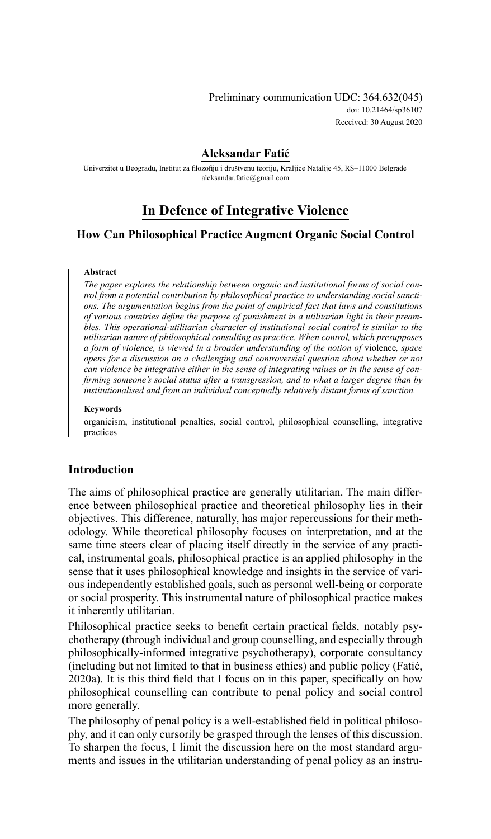## **Aleksandar Fatić**

Univerzitet u Beogradu, Institut za filozofiju i društvenu teoriju, Kraljice Natalije 45, RS–11000 Belgrade [aleksandar.fatic@gmail.com](mailto:aleksandar.fatic@gmail.com)

# **In Defence of Integrative Violence**

# **How Can Philosophical Practice Augment Organic Social Control**

### **Abstract**

*The paper explores the relationship between organic and institutional forms of social control from a potential contribution by philosophical practice to understanding social sanctions. The argumentation begins from the point of empirical fact that laws and constitutions of various countries define the purpose of punishment in a utilitarian light in their preambles. This operational-utilitarian character of institutional social control is similar to the utilitarian nature of philosophical consulting as practice. When control, which presupposes a form of violence, is viewed in a broader understanding of the notion of* violence*, space opens for a discussion on a challenging and controversial question about whether or not can violence be integrative either in the sense of integrating values or in the sense of confirming someone's social status after a transgression, and to what a larger degree than by institutionalised and from an individual conceptually relatively distant forms of sanction.*

### **Keywords**

organicism, institutional penalties, social control, philosophical counselling, integrative practices

### **Introduction**

The aims of philosophical practice are generally utilitarian. The main difference between philosophical practice and theoretical philosophy lies in their objectives. This difference, naturally, has major repercussions for their methodology. While theoretical philosophy focuses on interpretation, and at the same time steers clear of placing itself directly in the service of any practical, instrumental goals, philosophical practice is an applied philosophy in the sense that it uses philosophical knowledge and insights in the service of various independently established goals, such as personal well-being or corporate or social prosperity. This instrumental nature of philosophical practice makes it inherently utilitarian.

Philosophical practice seeks to benefit certain practical fields, notably psychotherapy (through individual and group counselling, and especially through philosophically-informed integrative psychotherapy), corporate consultancy (including but not limited to that in business ethics) and public policy (Fatić, 2020a). It is this third field that I focus on in this paper, specifically on how philosophical counselling can contribute to penal policy and social control more generally.

The philosophy of penal policy is a well-established field in political philosophy, and it can only cursorily be grasped through the lenses of this discussion. To sharpen the focus, I limit the discussion here on the most standard arguments and issues in the utilitarian understanding of penal policy as an instru-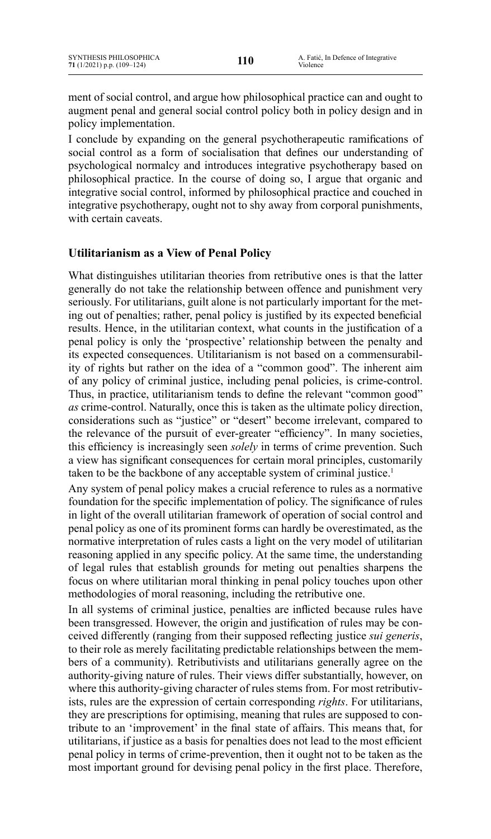ment of social control, and argue how philosophical practice can and ought to augment penal and general social control policy both in policy design and in policy implementation.

I conclude by expanding on the general psychotherapeutic ramifications of social control as a form of socialisation that defines our understanding of psychological normalcy and introduces integrative psychotherapy based on philosophical practice. In the course of doing so, I argue that organic and integrative social control, informed by philosophical practice and couched in integrative psychotherapy, ought not to shy away from corporal punishments, with certain caveats.

# **Utilitarianism as a View of Penal Policy**

What distinguishes utilitarian theories from retributive ones is that the latter generally do not take the relationship between offence and punishment very seriously. For utilitarians, guilt alone is not particularly important for the meting out of penalties; rather, penal policy is justified by its expected beneficial results. Hence, in the utilitarian context, what counts in the justification of a penal policy is only the 'prospective' relationship between the penalty and its expected consequences. Utilitarianism is not based on a commensurability of rights but rather on the idea of a "common good". The inherent aim of any policy of criminal justice, including penal policies, is crime-control. Thus, in practice, utilitarianism tends to define the relevant "common good" *as* crime-control. Naturally, once this is taken as the ultimate policy direction, considerations such as "justice" or "desert" become irrelevant, compared to the relevance of the pursuit of ever-greater "efficiency". In many societies, this efficiency is increasingly seen *solely* in terms of crime prevention. Such a view has significant consequences for certain moral principles, customarily taken to be the backbone of any acceptable system of criminal justice.<sup>1</sup>

Any system of penal policy makes a crucial reference to rules as a normative foundation for the specific implementation of policy. The significance of rules in light of the overall utilitarian framework of operation of social control and penal policy as one of its prominent forms can hardly be overestimated, as the normative interpretation of rules casts a light on the very model of utilitarian reasoning applied in any specific policy. At the same time, the understanding of legal rules that establish grounds for meting out penalties sharpens the focus on where utilitarian moral thinking in penal policy touches upon other methodologies of moral reasoning, including the retributive one.

In all systems of criminal justice, penalties are inflicted because rules have been transgressed. However, the origin and justification of rules may be conceived differently (ranging from their supposed reflecting justice *sui generis*, to their role as merely facilitating predictable relationships between the members of a community). Retributivists and utilitarians generally agree on the authority-giving nature of rules. Their views differ substantially, however, on where this authority-giving character of rules stems from. For most retributivists, rules are the expression of certain corresponding *rights*. For utilitarians, they are prescriptions for optimising, meaning that rules are supposed to contribute to an 'improvement' in the final state of affairs. This means that, for utilitarians, if justice as a basis for penalties does not lead to the most efficient penal policy in terms of crime-prevention, then it ought not to be taken as the most important ground for devising penal policy in the first place. Therefore,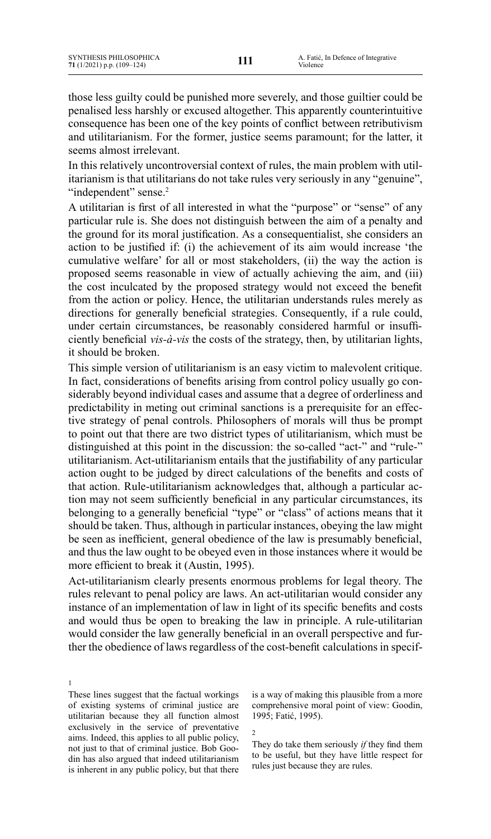those less guilty could be punished more severely, and those guiltier could be penalised less harshly or excused altogether. This apparently counterintuitive consequence has been one of the key points of conflict between retributivism and utilitarianism. For the former, justice seems paramount; for the latter, it seems almost irrelevant.

In this relatively uncontroversial context of rules, the main problem with utilitarianism is that utilitarians do not take rules very seriously in any "genuine", "independent" sense.<sup>2</sup>

A utilitarian is first of all interested in what the "purpose" or "sense" of any particular rule is. She does not distinguish between the aim of a penalty and the ground for its moral justification. As a consequentialist, she considers an action to be justified if: (i) the achievement of its aim would increase 'the cumulative welfare' for all or most stakeholders, (ii) the way the action is proposed seems reasonable in view of actually achieving the aim, and (iii) the cost inculcated by the proposed strategy would not exceed the benefit from the action or policy. Hence, the utilitarian understands rules merely as directions for generally beneficial strategies. Consequently, if a rule could, under certain circumstances, be reasonably considered harmful or insufficiently beneficial *vis-à-vis* the costs of the strategy, then, by utilitarian lights, it should be broken.

This simple version of utilitarianism is an easy victim to malevolent critique. In fact, considerations of benefits arising from control policy usually go considerably beyond individual cases and assume that a degree of orderliness and predictability in meting out criminal sanctions is a prerequisite for an effective strategy of penal controls. Philosophers of morals will thus be prompt to point out that there are two district types of utilitarianism, which must be distinguished at this point in the discussion: the so-called "act-" and "rule-" utilitarianism. Act-utilitarianism entails that the justifiability of any particular action ought to be judged by direct calculations of the benefits and costs of that action. Rule-utilitarianism acknowledges that, although a particular action may not seem sufficiently beneficial in any particular circumstances, its belonging to a generally beneficial "type" or "class" of actions means that it should be taken. Thus, although in particular instances, obeying the law might be seen as inefficient, general obedience of the law is presumably beneficial, and thus the law ought to be obeyed even in those instances where it would be more efficient to break it (Austin, 1995).

Act-utilitarianism clearly presents enormous problems for legal theory. The rules relevant to penal policy are laws. An act-utilitarian would consider any instance of an implementation of law in light of its specific benefits and costs and would thus be open to breaking the law in principle. A rule-utilitarian would consider the law generally beneficial in an overall perspective and further the obedience of laws regardless of the cost-benefit calculations in specif-

1 These lines suggest that the factual workings of existing systems of criminal justice are utilitarian because they all function almost exclusively in the service of preventative aims. Indeed, this applies to all public policy, not just to that of criminal justice. Bob Goodin has also argued that indeed utilitarianism is inherent in any public policy, but that there

is a way of making this plausible from a more comprehensive moral point of view: Goodin, 1995; Fatić, 1995).

2

They do take them seriously *if* they find them to be useful, but they have little respect for rules just because they are rules.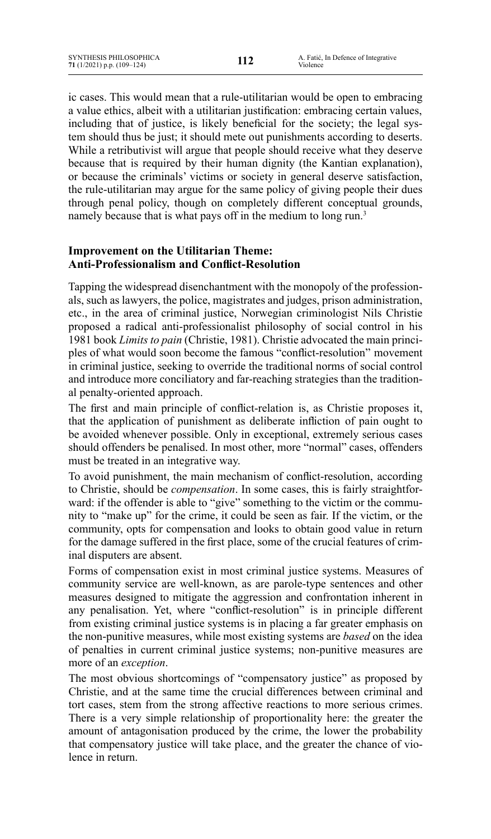ic cases. This would mean that a rule-utilitarian would be open to embracing a value ethics, albeit with a utilitarian justification: embracing certain values, including that of justice, is likely beneficial for the society; the legal system should thus be just; it should mete out punishments according to deserts. While a retributivist will argue that people should receive what they deserve because that is required by their human dignity (the Kantian explanation), or because the criminals' victims or society in general deserve satisfaction, the rule-utilitarian may argue for the same policy of giving people their dues through penal policy, though on completely different conceptual grounds, namely because that is what pays off in the medium to long run.<sup>3</sup>

# **Improvement on the Utilitarian Theme: Anti-Professionalism and Conflict-Resolution**

Tapping the widespread disenchantment with the monopoly of the professionals, such as lawyers, the police, magistrates and judges, prison administration, etc., in the area of criminal justice, Norwegian criminologist Nils Christie proposed a radical anti-professionalist philosophy of social control in his 1981 book *Limits to pain* (Christie, 1981). Christie advocated the main principles of what would soon become the famous "conflict-resolution" movement in criminal justice, seeking to override the traditional norms of social control and introduce more conciliatory and far-reaching strategies than the traditional penalty-oriented approach.

The first and main principle of conflict-relation is, as Christie proposes it, that the application of punishment as deliberate infliction of pain ought to be avoided whenever possible. Only in exceptional, extremely serious cases should offenders be penalised. In most other, more "normal" cases, offenders must be treated in an integrative way.

To avoid punishment, the main mechanism of conflict-resolution, according to Christie, should be *compensation*. In some cases, this is fairly straightforward: if the offender is able to "give" something to the victim or the community to "make up" for the crime, it could be seen as fair. If the victim, or the community, opts for compensation and looks to obtain good value in return for the damage suffered in the first place, some of the crucial features of criminal disputers are absent.

Forms of compensation exist in most criminal justice systems. Measures of community service are well-known, as are parole-type sentences and other measures designed to mitigate the aggression and confrontation inherent in any penalisation. Yet, where "conflict-resolution" is in principle different from existing criminal justice systems is in placing a far greater emphasis on the non-punitive measures, while most existing systems are *based* on the idea of penalties in current criminal justice systems; non-punitive measures are more of an *exception*.

The most obvious shortcomings of "compensatory justice" as proposed by Christie, and at the same time the crucial differences between criminal and tort cases, stem from the strong affective reactions to more serious crimes. There is a very simple relationship of proportionality here: the greater the amount of antagonisation produced by the crime, the lower the probability that compensatory justice will take place, and the greater the chance of violence in return.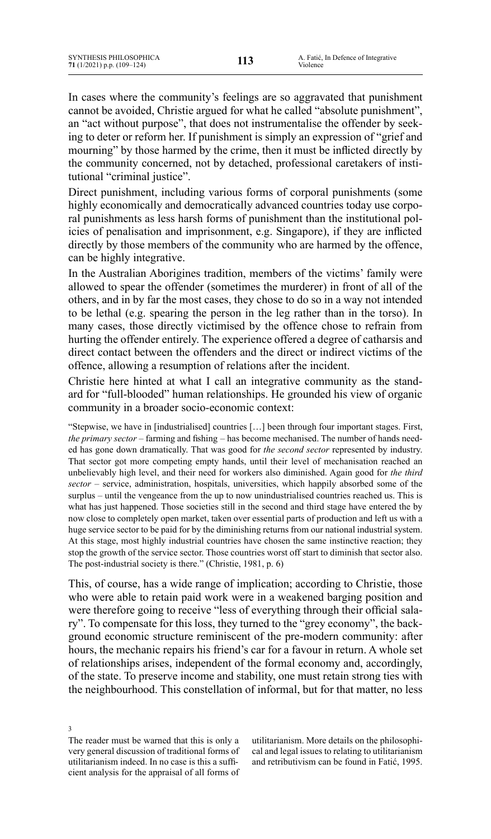In cases where the community's feelings are so aggravated that punishment cannot be avoided, Christie argued for what he called "absolute punishment", an "act without purpose", that does not instrumentalise the offender by seeking to deter or reform her. If punishment is simply an expression of "grief and mourning" by those harmed by the crime, then it must be inflicted directly by the community concerned, not by detached, professional caretakers of institutional "criminal justice".

Direct punishment, including various forms of corporal punishments (some highly economically and democratically advanced countries today use corporal punishments as less harsh forms of punishment than the institutional policies of penalisation and imprisonment, e.g. Singapore), if they are inflicted directly by those members of the community who are harmed by the offence, can be highly integrative.

In the Australian Aborigines tradition, members of the victims' family were allowed to spear the offender (sometimes the murderer) in front of all of the others, and in by far the most cases, they chose to do so in a way not intended to be lethal (e.g. spearing the person in the leg rather than in the torso). In many cases, those directly victimised by the offence chose to refrain from hurting the offender entirely. The experience offered a degree of catharsis and direct contact between the offenders and the direct or indirect victims of the offence, allowing a resumption of relations after the incident.

Christie here hinted at what I call an integrative community as the standard for "full-blooded" human relationships. He grounded his view of organic community in a broader socio-economic context:

"Stepwise, we have in [industrialised] countries […] been through four important stages. First, *the primary sector* – farming and fishing – has become mechanised. The number of hands needed has gone down dramatically. That was good for *the second sector* represented by industry. That sector got more competing empty hands, until their level of mechanisation reached an unbelievably high level, and their need for workers also diminished. Again good for *the third sector* – service, administration, hospitals, universities, which happily absorbed some of the surplus – until the vengeance from the up to now unindustrialised countries reached us. This is what has just happened. Those societies still in the second and third stage have entered the by now close to completely open market, taken over essential parts of production and left us with a huge service sector to be paid for by the diminishing returns from our national industrial system. At this stage, most highly industrial countries have chosen the same instinctive reaction; they stop the growth of the service sector. Those countries worst off start to diminish that sector also. The post-industrial society is there." (Christie, 1981, p. 6)

This, of course, has a wide range of implication; according to Christie, those who were able to retain paid work were in a weakened barging position and were therefore going to receive "less of everything through their official salary". To compensate for this loss, they turned to the "grey economy", the background economic structure reminiscent of the pre-modern community: after hours, the mechanic repairs his friend's car for a favour in return. A whole set of relationships arises, independent of the formal economy and, accordingly, of the state. To preserve income and stability, one must retain strong ties with the neighbourhood. This constellation of informal, but for that matter, no less

3 The reader must be warned that this is only a very general discussion of traditional forms of utilitarianism indeed. In no case is this a sufficient analysis for the appraisal of all forms of

utilitarianism. More details on the philosophical and legal issues to relating to utilitarianism and retributivism can be found in Fatić, 1995.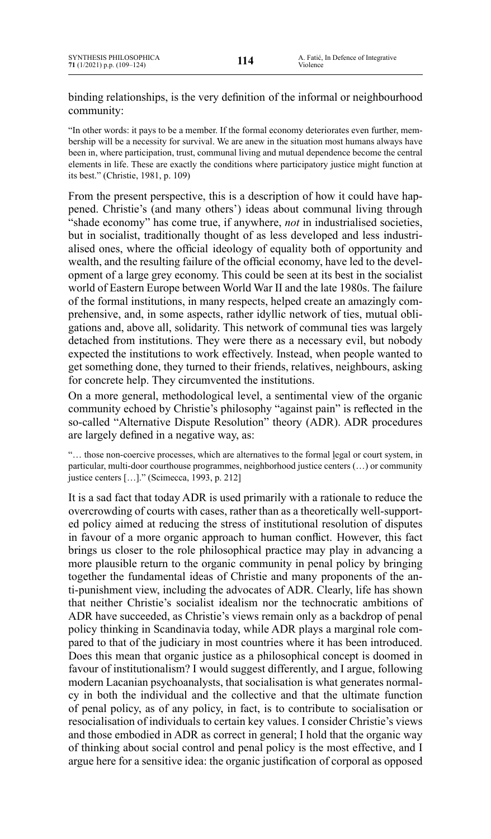binding relationships, is the very definition of the informal or neighbourhood community:

"In other words: it pays to be a member. If the formal economy deteriorates even further, membership will be a necessity for survival. We are anew in the situation most humans always have been in, where participation, trust, communal living and mutual dependence become the central elements in life. These are exactly the conditions where participatory justice might function at its best." (Christie, 1981, p. 109)

From the present perspective, this is a description of how it could have happened. Christie's (and many others') ideas about communal living through "shade economy" has come true, if anywhere, *not* in industrialised societies, but in socialist, traditionally thought of as less developed and less industrialised ones, where the official ideology of equality both of opportunity and wealth, and the resulting failure of the official economy, have led to the development of a large grey economy. This could be seen at its best in the socialist world of Eastern Europe between World War II and the late 1980s. The failure of the formal institutions, in many respects, helped create an amazingly comprehensive, and, in some aspects, rather idyllic network of ties, mutual obligations and, above all, solidarity. This network of communal ties was largely detached from institutions. They were there as a necessary evil, but nobody expected the institutions to work effectively. Instead, when people wanted to get something done, they turned to their friends, relatives, neighbours, asking for concrete help. They circumvented the institutions.

On a more general, methodological level, a sentimental view of the organic community echoed by Christie's philosophy "against pain" is reflected in the so-called "Alternative Dispute Resolution" theory (ADR). ADR procedures are largely defined in a negative way, as:

"… those non-coercive processes, which are alternatives to the formal legal or court system, in particular, multi-door courthouse programmes, neighborhood justice centers (…) or community justice centers […]." (Scimecca, 1993, p. 212]

It is a sad fact that today ADR is used primarily with a rationale to reduce the overcrowding of courts with cases, rather than as a theoretically well-supported policy aimed at reducing the stress of institutional resolution of disputes in favour of a more organic approach to human conflict. However, this fact brings us closer to the role philosophical practice may play in advancing a more plausible return to the organic community in penal policy by bringing together the fundamental ideas of Christie and many proponents of the anti-punishment view, including the advocates of ADR. Clearly, life has shown that neither Christie's socialist idealism nor the technocratic ambitions of ADR have succeeded, as Christie's views remain only as a backdrop of penal policy thinking in Scandinavia today, while ADR plays a marginal role compared to that of the judiciary in most countries where it has been introduced. Does this mean that organic justice as a philosophical concept is doomed in favour of institutionalism? I would suggest differently, and I argue, following modern Lacanian psychoanalysts, that socialisation is what generates normalcy in both the individual and the collective and that the ultimate function of penal policy, as of any policy, in fact, is to contribute to socialisation or resocialisation of individuals to certain key values. I consider Christie's views and those embodied in ADR as correct in general; I hold that the organic way of thinking about social control and penal policy is the most effective, and I argue here for a sensitive idea: the organic justification of corporal as opposed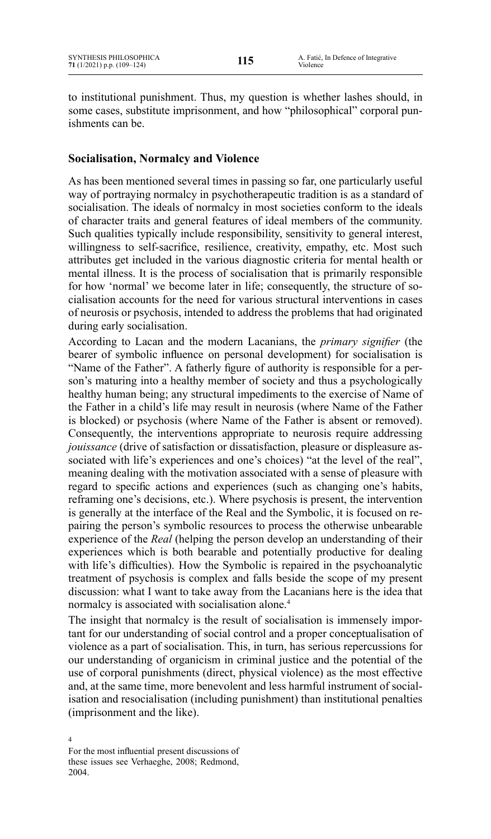to institutional punishment. Thus, my question is whether lashes should, in some cases, substitute imprisonment, and how "philosophical" corporal punishments can be.

# **Socialisation, Normalcy and Violence**

As has been mentioned several times in passing so far, one particularly useful way of portraying normalcy in psychotherapeutic tradition is as a standard of socialisation. The ideals of normalcy in most societies conform to the ideals of character traits and general features of ideal members of the community. Such qualities typically include responsibility, sensitivity to general interest, willingness to self-sacrifice, resilience, creativity, empathy, etc. Most such attributes get included in the various diagnostic criteria for mental health or mental illness. It is the process of socialisation that is primarily responsible for how 'normal' we become later in life; consequently, the structure of socialisation accounts for the need for various structural interventions in cases of neurosis or psychosis, intended to address the problems that had originated during early socialisation.

According to Lacan and the modern Lacanians, the *primary signifier* (the bearer of symbolic influence on personal development) for socialisation is "Name of the Father". A fatherly figure of authority is responsible for a person's maturing into a healthy member of society and thus a psychologically healthy human being; any structural impediments to the exercise of Name of the Father in a child's life may result in neurosis (where Name of the Father is blocked) or psychosis (where Name of the Father is absent or removed). Consequently, the interventions appropriate to neurosis require addressing *jouissance* (drive of satisfaction or dissatisfaction, pleasure or displeasure associated with life's experiences and one's choices) "at the level of the real", meaning dealing with the motivation associated with a sense of pleasure with regard to specific actions and experiences (such as changing one's habits, reframing one's decisions, etc.). Where psychosis is present, the intervention is generally at the interface of the Real and the Symbolic, it is focused on repairing the person's symbolic resources to process the otherwise unbearable experience of the *Real* (helping the person develop an understanding of their experiences which is both bearable and potentially productive for dealing with life's difficulties). How the Symbolic is repaired in the psychoanalytic treatment of psychosis is complex and falls beside the scope of my present discussion: what I want to take away from the Lacanians here is the idea that normalcy is associated with socialisation alone.<sup>4</sup>

The insight that normalcy is the result of socialisation is immensely important for our understanding of social control and a proper conceptualisation of violence as a part of socialisation. This, in turn, has serious repercussions for our understanding of organicism in criminal justice and the potential of the use of corporal punishments (direct, physical violence) as the most effective and, at the same time, more benevolent and less harmful instrument of socialisation and resocialisation (including punishment) than institutional penalties (imprisonment and the like).

<sup>4</sup> For the most influential present discussions of these issues see Verhaeghe, 2008; Redmond, 2004.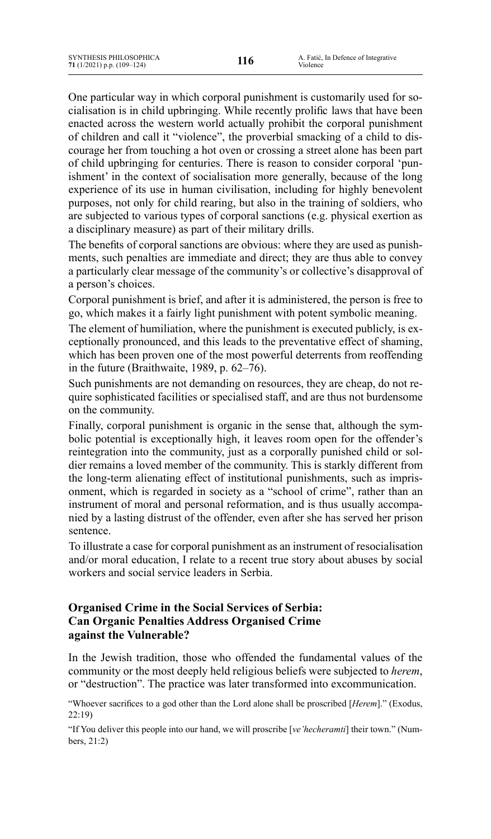One particular way in which corporal punishment is customarily used for socialisation is in child upbringing. While recently prolific laws that have been enacted across the western world actually prohibit the corporal punishment of children and call it "violence", the proverbial smacking of a child to discourage her from touching a hot oven or crossing a street alone has been part of child upbringing for centuries. There is reason to consider corporal 'punishment' in the context of socialisation more generally, because of the long experience of its use in human civilisation, including for highly benevolent purposes, not only for child rearing, but also in the training of soldiers, who are subjected to various types of corporal sanctions (e.g. physical exertion as a disciplinary measure) as part of their military drills.

The benefits of corporal sanctions are obvious: where they are used as punishments, such penalties are immediate and direct; they are thus able to convey a particularly clear message of the community's or collective's disapproval of a person's choices.

Corporal punishment is brief, and after it is administered, the person is free to go, which makes it a fairly light punishment with potent symbolic meaning.

The element of humiliation, where the punishment is executed publicly, is exceptionally pronounced, and this leads to the preventative effect of shaming, which has been proven one of the most powerful deterrents from reoffending in the future (Braithwaite, 1989, p.  $62-76$ ).

Such punishments are not demanding on resources, they are cheap, do not require sophisticated facilities or specialised staff, and are thus not burdensome on the community.

Finally, corporal punishment is organic in the sense that, although the symbolic potential is exceptionally high, it leaves room open for the offender's reintegration into the community, just as a corporally punished child or soldier remains a loved member of the community. This is starkly different from the long-term alienating effect of institutional punishments, such as imprisonment, which is regarded in society as a "school of crime", rather than an instrument of moral and personal reformation, and is thus usually accompanied by a lasting distrust of the offender, even after she has served her prison sentence.

To illustrate a case for corporal punishment as an instrument of resocialisation and/or moral education, I relate to a recent true story about abuses by social workers and social service leaders in Serbia.

# **Organised Crime in the Social Services of Serbia: Can Organic Penalties Address Organised Crime against the Vulnerable?**

In the Jewish tradition, those who offended the fundamental values of the community or the most deeply held religious beliefs were subjected to *herem*, or "destruction". The practice was later transformed into excommunication.

"Whoever sacrifices to a god other than the Lord alone shall be proscribed [*Herem*]." (Exodus, 22:19)

"If You deliver this people into our hand, we will proscribe [*ve'hecheramti*] their town." (Numbers, 21:2)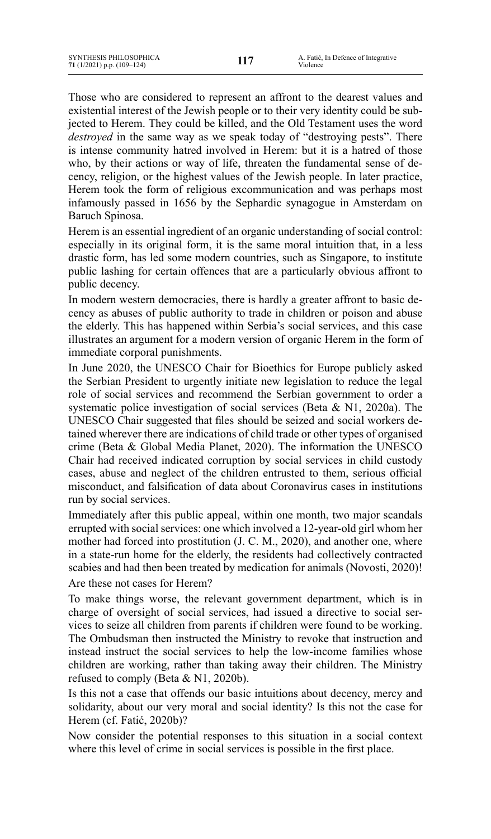Those who are considered to represent an affront to the dearest values and existential interest of the Jewish people or to their very identity could be subjected to Herem. They could be killed, and the Old Testament uses the word *destroyed* in the same way as we speak today of "destroying pests". There is intense community hatred involved in Herem: but it is a hatred of those who, by their actions or way of life, threaten the fundamental sense of decency, religion, or the highest values of the Jewish people. In later practice, Herem took the form of religious excommunication and was perhaps most infamously passed in 1656 by the Sephardic synagogue in Amsterdam on Baruch Spinosa.

Herem is an essential ingredient of an organic understanding of social control: especially in its original form, it is the same moral intuition that, in a less drastic form, has led some modern countries, such as Singapore, to institute public lashing for certain offences that are a particularly obvious affront to public decency.

In modern western democracies, there is hardly a greater affront to basic decency as abuses of public authority to trade in children or poison and abuse the elderly. This has happened within Serbia's social services, and this case illustrates an argument for a modern version of organic Herem in the form of immediate corporal punishments.

In June 2020, the UNESCO Chair for Bioethics for Europe publicly asked the Serbian President to urgently initiate new legislation to reduce the legal role of social services and recommend the Serbian government to order a systematic police investigation of social services (Beta & N1, 2020a). The UNESCO Chair suggested that files should be seized and social workers detained wherever there are indications of child trade or other types of organised crime (Beta & Global Media Planet, 2020). The information the UNESCO Chair had received indicated corruption by social services in child custody cases, abuse and neglect of the children entrusted to them, serious official misconduct, and falsification of data about Coronavirus cases in institutions run by social services.

Immediately after this public appeal, within one month, two major scandals errupted with social services: one which involved a 12-year-old girl whom her mother had forced into prostitution (J. C. M., 2020), and another one, where in a state-run home for the elderly, the residents had collectively contracted scabies and had then been treated by medication for animals (Novosti, 2020)!

Are these not cases for Herem?

To make things worse, the relevant government department, which is in charge of oversight of social services, had issued a directive to social services to seize all children from parents if children were found to be working. The Ombudsman then instructed the Ministry to revoke that instruction and instead instruct the social services to help the low-income families whose children are working, rather than taking away their children. The Ministry refused to comply (Beta & N1, 2020b).

Is this not a case that offends our basic intuitions about decency, mercy and solidarity, about our very moral and social identity? Is this not the case for Herem (cf. Fatić, 2020b)?

Now consider the potential responses to this situation in a social context where this level of crime in social services is possible in the first place.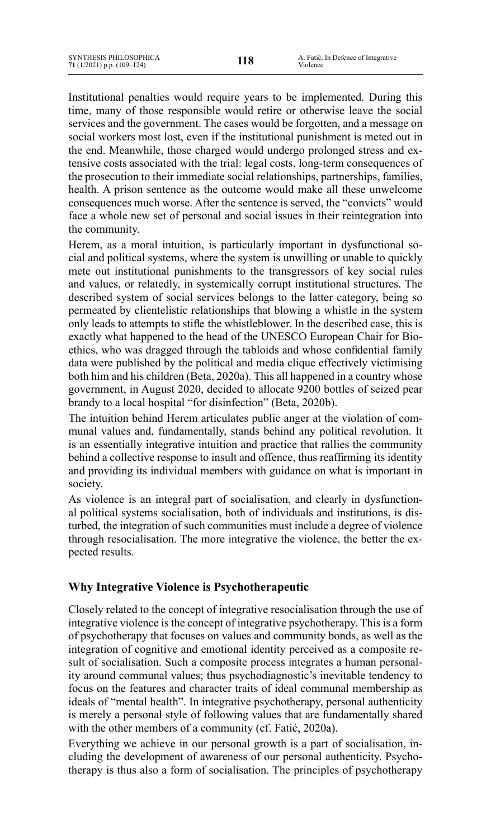Institutional penalties would require years to be implemented. During this time, many of those responsible would retire or otherwise leave the social services and the government. The cases would be forgotten, and a message on social workers most lost, even if the institutional punishment is meted out in the end. Meanwhile, those charged would undergo prolonged stress and extensive costs associated with the trial: legal costs, long-term consequences of the prosecution to their immediate social relationships, partnerships, families, health. A prison sentence as the outcome would make all these unwelcome consequences much worse. After the sentence is served, the "convicts" would face a whole new set of personal and social issues in their reintegration into the community.

Herem, as a moral intuition, is particularly important in dysfunctional social and political systems, where the system is unwilling or unable to quickly mete out institutional punishments to the transgressors of key social rules and values, or relatedly, in systemically corrupt institutional structures. The described system of social services belongs to the latter category, being so permeated by clientelistic relationships that blowing a whistle in the system only leads to attempts to stifle the whistleblower. In the described case, this is exactly what happened to the head of the UNESCO European Chair for Bioethics, who was dragged through the tabloids and whose confidential family data were published by the political and media clique effectively victimising both him and his children (Beta, 2020a). This all happened in a country whose government, in August 2020, decided to allocate 9200 bottles of seized pear brandy to a local hospital "for disinfection" (Beta, 2020b).

The intuition behind Herem articulates public anger at the violation of communal values and, fundamentally, stands behind any political revolution. It is an essentially integrative intuition and practice that rallies the community behind a collective response to insult and offence, thus reaffirming its identity and providing its individual members with guidance on what is important in society.

As violence is an integral part of socialisation, and clearly in dysfunctional political systems socialisation, both of individuals and institutions, is disturbed, the integration of such communities must include a degree of violence through resocialisation. The more integrative the violence, the better the expected results.

# **Why Integrative Violence is Psychotherapeutic**

Closely related to the concept of integrative resocialisation through the use of integrative violence is the concept of integrative psychotherapy. This is a form of psychotherapy that focuses on values and community bonds, as well as the integration of cognitive and emotional identity perceived as a composite result of socialisation. Such a composite process integrates a human personality around communal values; thus psychodiagnostic's inevitable tendency to focus on the features and character traits of ideal communal membership as ideals of "mental health". In integrative psychotherapy, personal authenticity is merely a personal style of following values that are fundamentally shared with the other members of a community (cf. Fatić, 2020a).

Everything we achieve in our personal growth is a part of socialisation, including the development of awareness of our personal authenticity. Psychotherapy is thus also a form of socialisation. The principles of psychotherapy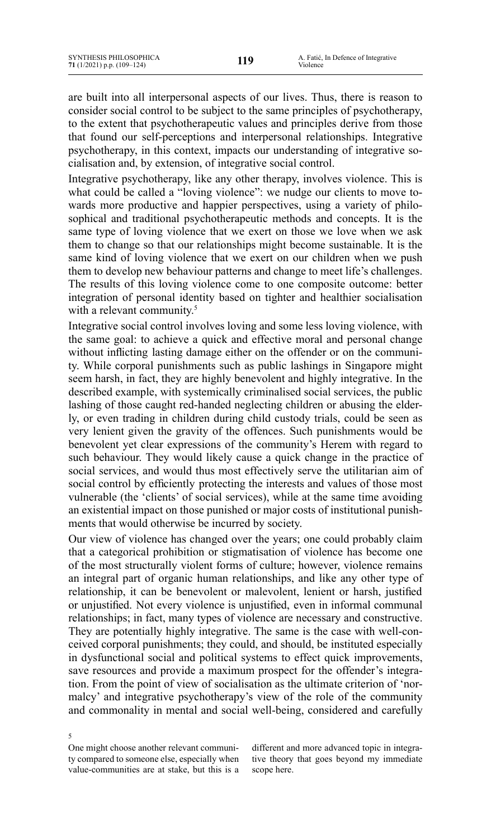are built into all interpersonal aspects of our lives. Thus, there is reason to consider social control to be subject to the same principles of psychotherapy, to the extent that psychotherapeutic values and principles derive from those that found our self-perceptions and interpersonal relationships. Integrative psychotherapy, in this context, impacts our understanding of integrative socialisation and, by extension, of integrative social control.

Integrative psychotherapy, like any other therapy, involves violence. This is what could be called a "loving violence": we nudge our clients to move towards more productive and happier perspectives, using a variety of philosophical and traditional psychotherapeutic methods and concepts. It is the same type of loving violence that we exert on those we love when we ask them to change so that our relationships might become sustainable. It is the same kind of loving violence that we exert on our children when we push them to develop new behaviour patterns and change to meet life's challenges. The results of this loving violence come to one composite outcome: better integration of personal identity based on tighter and healthier socialisation with a relevant community.<sup>5</sup>

Integrative social control involves loving and some less loving violence, with the same goal: to achieve a quick and effective moral and personal change without inflicting lasting damage either on the offender or on the community. While corporal punishments such as public lashings in Singapore might seem harsh, in fact, they are highly benevolent and highly integrative. In the described example, with systemically criminalised social services, the public lashing of those caught red-handed neglecting children or abusing the elderly, or even trading in children during child custody trials, could be seen as very lenient given the gravity of the offences. Such punishments would be benevolent yet clear expressions of the community's Herem with regard to such behaviour. They would likely cause a quick change in the practice of social services, and would thus most effectively serve the utilitarian aim of social control by efficiently protecting the interests and values of those most vulnerable (the 'clients' of social services), while at the same time avoiding an existential impact on those punished or major costs of institutional punishments that would otherwise be incurred by society.

Our view of violence has changed over the years; one could probably claim that a categorical prohibition or stigmatisation of violence has become one of the most structurally violent forms of culture; however, violence remains an integral part of organic human relationships, and like any other type of relationship, it can be benevolent or malevolent, lenient or harsh, justified or unjustified. Not every violence is unjustified, even in informal communal relationships; in fact, many types of violence are necessary and constructive. They are potentially highly integrative. The same is the case with well-conceived corporal punishments; they could, and should, be instituted especially in dysfunctional social and political systems to effect quick improvements, save resources and provide a maximum prospect for the offender's integration. From the point of view of socialisation as the ultimate criterion of 'normalcy' and integrative psychotherapy's view of the role of the community and commonality in mental and social well-being, considered and carefully

5 One might choose another relevant community compared to someone else, especially when value-communities are at stake, but this is a

different and more advanced topic in integrative theory that goes beyond my immediate scope here.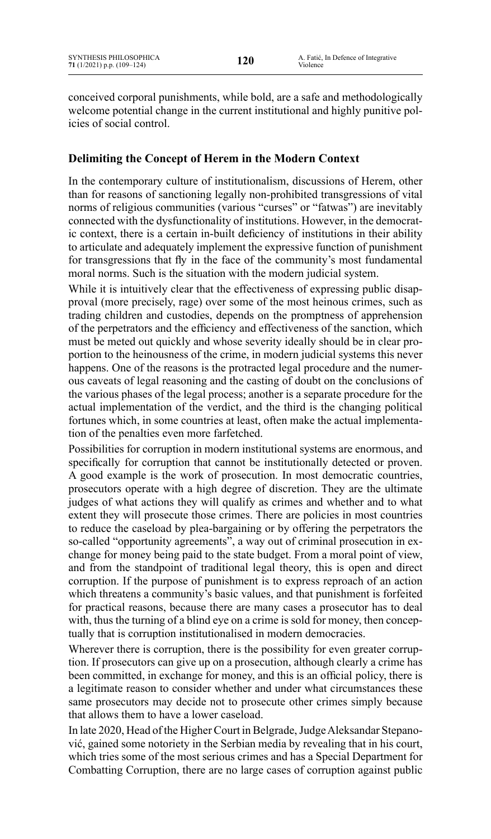conceived corporal punishments, while bold, are a safe and methodologically welcome potential change in the current institutional and highly punitive policies of social control.

# **Delimiting the Concept of Herem in the Modern Context**

In the contemporary culture of institutionalism, discussions of Herem, other than for reasons of sanctioning legally non-prohibited transgressions of vital norms of religious communities (various "curses" or "fatwas") are inevitably connected with the dysfunctionality of institutions. However, in the democratic context, there is a certain in-built deficiency of institutions in their ability to articulate and adequately implement the expressive function of punishment for transgressions that fly in the face of the community's most fundamental moral norms. Such is the situation with the modern judicial system.

While it is intuitively clear that the effectiveness of expressing public disapproval (more precisely, rage) over some of the most heinous crimes, such as trading children and custodies, depends on the promptness of apprehension of the perpetrators and the efficiency and effectiveness of the sanction, which must be meted out quickly and whose severity ideally should be in clear proportion to the heinousness of the crime, in modern judicial systems this never happens. One of the reasons is the protracted legal procedure and the numerous caveats of legal reasoning and the casting of doubt on the conclusions of the various phases of the legal process; another is a separate procedure for the actual implementation of the verdict, and the third is the changing political fortunes which, in some countries at least, often make the actual implementation of the penalties even more farfetched.

Possibilities for corruption in modern institutional systems are enormous, and specifically for corruption that cannot be institutionally detected or proven. A good example is the work of prosecution. In most democratic countries, prosecutors operate with a high degree of discretion. They are the ultimate judges of what actions they will qualify as crimes and whether and to what extent they will prosecute those crimes. There are policies in most countries to reduce the caseload by plea-bargaining or by offering the perpetrators the so-called "opportunity agreements", a way out of criminal prosecution in exchange for money being paid to the state budget. From a moral point of view, and from the standpoint of traditional legal theory, this is open and direct corruption. If the purpose of punishment is to express reproach of an action which threatens a community's basic values, and that punishment is forfeited for practical reasons, because there are many cases a prosecutor has to deal with, thus the turning of a blind eye on a crime is sold for money, then conceptually that is corruption institutionalised in modern democracies.

Wherever there is corruption, there is the possibility for even greater corruption. If prosecutors can give up on a prosecution, although clearly a crime has been committed, in exchange for money, and this is an official policy, there is a legitimate reason to consider whether and under what circumstances these same prosecutors may decide not to prosecute other crimes simply because that allows them to have a lower caseload.

In late 2020, Head of the Higher Court in Belgrade, Judge Aleksandar Stepanović, gained some notoriety in the Serbian media by revealing that in his court, which tries some of the most serious crimes and has a Special Department for Combatting Corruption, there are no large cases of corruption against public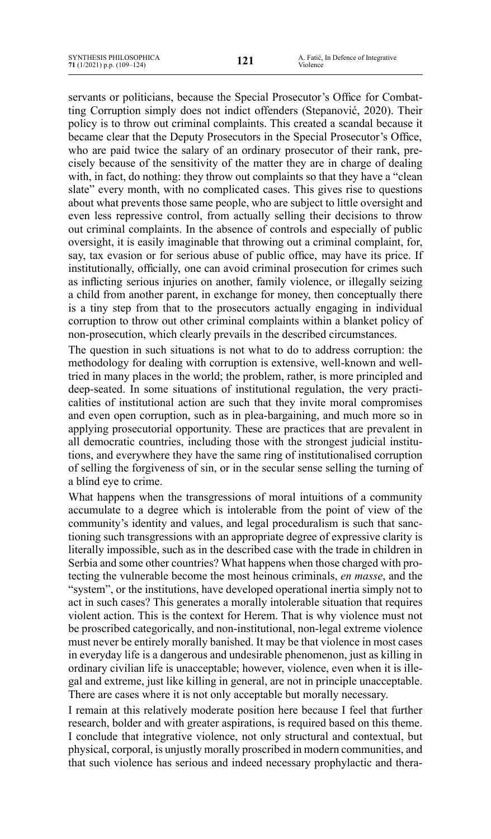servants or politicians, because the Special Prosecutor's Office for Combatting Corruption simply does not indict offenders (Stepanović, 2020). Their policy is to throw out criminal complaints. This created a scandal because it became clear that the Deputy Prosecutors in the Special Prosecutor's Office, who are paid twice the salary of an ordinary prosecutor of their rank, precisely because of the sensitivity of the matter they are in charge of dealing with, in fact, do nothing: they throw out complaints so that they have a "clean slate" every month, with no complicated cases. This gives rise to questions about what prevents those same people, who are subject to little oversight and even less repressive control, from actually selling their decisions to throw out criminal complaints. In the absence of controls and especially of public oversight, it is easily imaginable that throwing out a criminal complaint, for, say, tax evasion or for serious abuse of public office, may have its price. If institutionally, officially, one can avoid criminal prosecution for crimes such as inflicting serious injuries on another, family violence, or illegally seizing a child from another parent, in exchange for money, then conceptually there is a tiny step from that to the prosecutors actually engaging in individual corruption to throw out other criminal complaints within a blanket policy of non-prosecution, which clearly prevails in the described circumstances.

The question in such situations is not what to do to address corruption: the methodology for dealing with corruption is extensive, well-known and welltried in many places in the world; the problem, rather, is more principled and deep-seated. In some situations of institutional regulation, the very practicalities of institutional action are such that they invite moral compromises and even open corruption, such as in plea-bargaining, and much more so in applying prosecutorial opportunity. These are practices that are prevalent in all democratic countries, including those with the strongest judicial institutions, and everywhere they have the same ring of institutionalised corruption of selling the forgiveness of sin, or in the secular sense selling the turning of a blind eye to crime.

What happens when the transgressions of moral intuitions of a community accumulate to a degree which is intolerable from the point of view of the community's identity and values, and legal proceduralism is such that sanctioning such transgressions with an appropriate degree of expressive clarity is literally impossible, such as in the described case with the trade in children in Serbia and some other countries? What happens when those charged with protecting the vulnerable become the most heinous criminals, *en masse*, and the "system", or the institutions, have developed operational inertia simply not to act in such cases? This generates a morally intolerable situation that requires violent action. This is the context for Herem. That is why violence must not be proscribed categorically, and non-institutional, non-legal extreme violence must never be entirely morally banished. It may be that violence in most cases in everyday life is a dangerous and undesirable phenomenon, just as killing in ordinary civilian life is unacceptable; however, violence, even when it is illegal and extreme, just like killing in general, are not in principle unacceptable. There are cases where it is not only acceptable but morally necessary.

I remain at this relatively moderate position here because I feel that further research, bolder and with greater aspirations, is required based on this theme. I conclude that integrative violence, not only structural and contextual, but physical, corporal, is unjustly morally proscribed in modern communities, and that such violence has serious and indeed necessary prophylactic and thera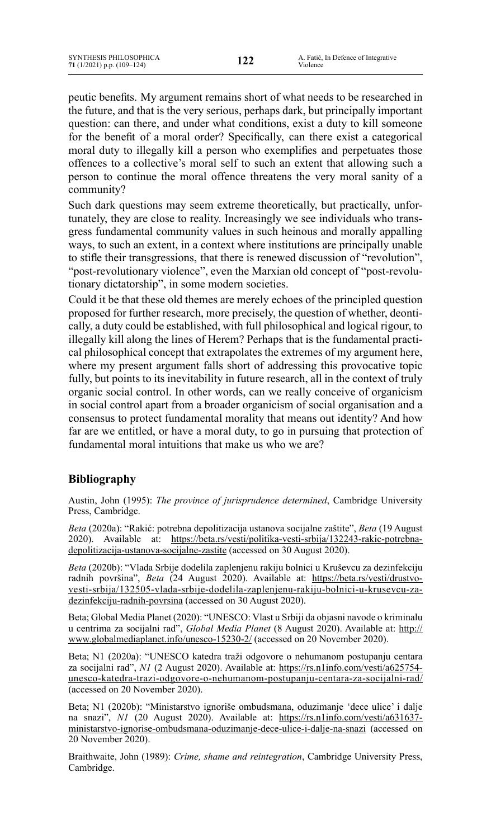peutic benefits. My argument remains short of what needs to be researched in the future, and that is the very serious, perhaps dark, but principally important question: can there, and under what conditions, exist a duty to kill someone for the benefit of a moral order? Specifically, can there exist a categorical moral duty to illegally kill a person who exemplifies and perpetuates those offences to a collective's moral self to such an extent that allowing such a person to continue the moral offence threatens the very moral sanity of a community?

Such dark questions may seem extreme theoretically, but practically, unfortunately, they are close to reality. Increasingly we see individuals who transgress fundamental community values in such heinous and morally appalling ways, to such an extent, in a context where institutions are principally unable to stifle their transgressions, that there is renewed discussion of "revolution", "post-revolutionary violence", even the Marxian old concept of "post-revolutionary dictatorship", in some modern societies.

Could it be that these old themes are merely echoes of the principled question proposed for further research, more precisely, the question of whether, deontically, a duty could be established, with full philosophical and logical rigour, to illegally kill along the lines of Herem? Perhaps that is the fundamental practical philosophical concept that extrapolates the extremes of my argument here, where my present argument falls short of addressing this provocative topic fully, but points to its inevitability in future research, all in the context of truly organic social control. In other words, can we really conceive of organicism in social control apart from a broader organicism of social organisation and a consensus to protect fundamental morality that means out identity? And how far are we entitled, or have a moral duty, to go in pursuing that protection of fundamental moral intuitions that make us who we are?

# **Bibliography**

Austin, John (1995): *The province of jurisprudence determined*, Cambridge University Press, Cambridge.

*Beta* (2020a): "Rakić: potrebna depolitizacija ustanova socijalne zaštite", *Beta* (19 August 2020). Available at: [https://beta.rs/vesti/politika-vesti-srbija/132243-rakic-potrebna](https://beta.rs/vesti/politika-vesti-srbija/132243-rakic-potrebna-depolitizacija-ustanova-socijalne-zastite)[depolitizacija-ustanova-socijalne-zastite](https://beta.rs/vesti/politika-vesti-srbija/132243-rakic-potrebna-depolitizacija-ustanova-socijalne-zastite) (accessed on 30 August 2020).

*Beta* (2020b): "Vlada Srbije dodelila zaplenjenu rakiju bolnici u Kruševcu za dezinfekciju radnih površina", *Beta* (24 August 2020). Available at: [https://beta.rs/vesti/drustvo](https://beta.rs/vesti/drustvo-vesti-srbija/132505-vlada-srbije-dodelila-zaplenjenu-rakiju-bolnici-u-krusevcu-za-dezinfekciju-radnih-povrsina)[vesti-srbija/132505-vlada-srbije-dodelila-zaplenjenu-rakiju-bolnici-u-krusevcu-za](https://beta.rs/vesti/drustvo-vesti-srbija/132505-vlada-srbije-dodelila-zaplenjenu-rakiju-bolnici-u-krusevcu-za-dezinfekciju-radnih-povrsina)[dezinfekciju-radnih-povrsina](https://beta.rs/vesti/drustvo-vesti-srbija/132505-vlada-srbije-dodelila-zaplenjenu-rakiju-bolnici-u-krusevcu-za-dezinfekciju-radnih-povrsina) (accessed on 30 August 2020).

Beta; Global Media Planet (2020): "UNESCO: Vlast u Srbiji da objasni navode o kriminalu u centrima za socijalni rad", *Global Media Planet* (8 August 2020). Available at: [http://](http://www.globalmediaplanet.info/unesco-15230-2/) [www.globalmediaplanet.info/unesco-15230-2/](http://www.globalmediaplanet.info/unesco-15230-2/) (accessed on 20 November 2020).

Beta; N1 (2020a): "UNESCO katedra traži odgovore o nehumanom postupanju centara za socijalni rad", *N1* (2 August 2020). Available at: [https://rs.n1info.com/vesti/a625754](https://rs.n1info.com/vesti/a625754-unesco-katedra-trazi-odgovore-o-nehumanom-postupanju-centara-za-socijalni-rad/) [unesco-katedra-trazi-odgovore-o-nehumanom-postupanju-centara-za-socijalni-rad/](https://rs.n1info.com/vesti/a625754-unesco-katedra-trazi-odgovore-o-nehumanom-postupanju-centara-za-socijalni-rad/) (accessed on 20 November 2020).

Beta; N1 (2020b): "Ministarstvo ignoriše ombudsmana, oduzimanje 'dece ulice' i dalje na snazi", *N1* (20 August 2020). Available at: [https://rs.n1info.com/vesti/a631637](https://rs.n1info.com/vesti/a631637-ministarstvo-ignorise-ombudsmana-oduzimanje-dece-ulice-i-dalje-na-snazi) [ministarstvo-ignorise-ombudsmana-oduzimanje-dece-ulice-i-dalje-na-snazi](https://rs.n1info.com/vesti/a631637-ministarstvo-ignorise-ombudsmana-oduzimanje-dece-ulice-i-dalje-na-snazi) (accessed on 20 November 2020).

Braithwaite, John (1989): *Crime, shame and reintegration*, Cambridge University Press, Cambridge.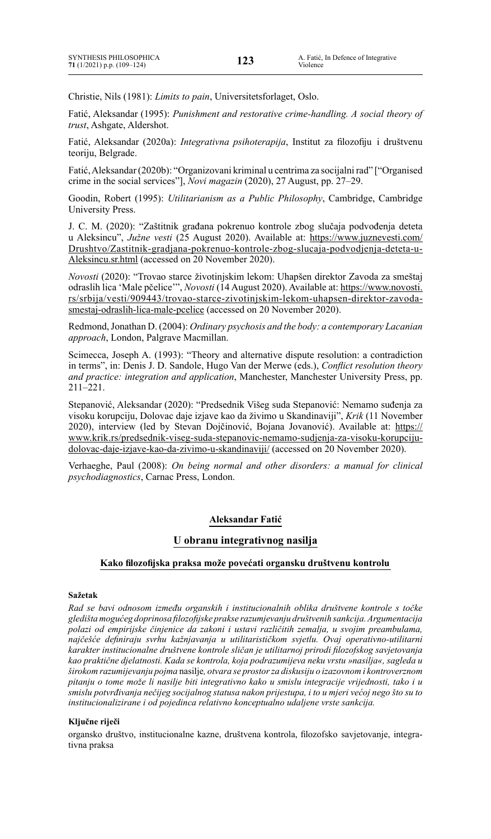Christie, Nils (1981): *Limits to pain*, Universitetsforlaget, Oslo.

Fatić, Aleksandar (1995): *Punishment and restorative crime-handling. A social theory of trust*, Ashgate, Aldershot.

Fatić, Aleksandar (2020a): *Integrativna psihoterapija*, Institut za filozofiju i društvenu teoriju, Belgrade.

Fatić,Aleksandar(2020b): "Organizovani kriminal u centrima za socijalnirad" ["Organised crime in the social services"], *Novi magazin* (2020), 27 August, pp. 27–29.

Goodin, Robert (1995): *Utilitarianism as a Public Philosophy*, Cambridge, Cambridge University Press.

J. C. M. (2020): "Zaštitnik građana pokrenuo kontrole zbog slučaja podvođenja deteta u Aleksincu", *Južne vesti* (25 August 2020). Available at: [https://www.juznevesti.com/](https://www.juznevesti.com/Drushtvo/Zastitnik-gradjana-pokrenuo-kontrole-zbog-slucaja-podvodjenja-deteta-u-Aleksincu.sr.html) [Drushtvo/Zastitnik-gradjana-pokrenuo-kontrole-zbog-slucaja-podvodjenja-deteta-u-](https://www.juznevesti.com/Drushtvo/Zastitnik-gradjana-pokrenuo-kontrole-zbog-slucaja-podvodjenja-deteta-u-Aleksincu.sr.html)[Aleksincu.sr.html](https://www.juznevesti.com/Drushtvo/Zastitnik-gradjana-pokrenuo-kontrole-zbog-slucaja-podvodjenja-deteta-u-Aleksincu.sr.html) (accessed on 20 November 2020).

*Novosti* (2020): "Trovao starce životinjskim lekom: Uhapšen direktor Zavoda za smeštaj odraslih lica 'Male pčelice'", *Novosti* (14 August 2020). Available at: [https://www.novosti.](https://www.novosti.rs/srbija/vesti/909443/trovao-starce-zivotinjskim-lekom-uhapsen-direktor-zavoda-smestaj-odraslih-lica-male-pcelice) [rs/srbija/vesti/909443/trovao-starce-zivotinjskim-lekom-uhapsen-direktor-zavoda](https://www.novosti.rs/srbija/vesti/909443/trovao-starce-zivotinjskim-lekom-uhapsen-direktor-zavoda-smestaj-odraslih-lica-male-pcelice)[smestaj-odraslih-lica-male-pcelice](https://www.novosti.rs/srbija/vesti/909443/trovao-starce-zivotinjskim-lekom-uhapsen-direktor-zavoda-smestaj-odraslih-lica-male-pcelice) (accessed on 20 November 2020).

Redmond,Jonathan D. (2004): *Ordinary psychosis and the body: a contemporary Lacanian approach*, London, Palgrave Macmillan.

Scimecca, Joseph A. (1993): "Theory and alternative dispute resolution: a contradiction in terms", in: Denis J. D. Sandole, Hugo Van der Merwe (eds.), *Conflict resolution theory and practice: integration and application*, Manchester, Manchester University Press, pp. 211–221.

Stepanović, Aleksandar (2020): "Predsednik Višeg suda Stepanović: Nemamo suđenja za visoku korupciju, Dolovac daje izjave kao da živimo u Skandinaviji", *Krik* (11 November 2020), interview (led by Stevan Dojčinović, Bojana Jovanović). Available at: [https://](https://www.krik.rs/predsednik-viseg-suda-stepanovic-nemamo-sudjenja-za-visoku-korupciju-dolovac-daje-izjave-kao-da-zivimo-u-skandinaviji/) [www.krik.rs/predsednik-viseg-suda-stepanovic-nemamo-sudjenja-za-visoku-korupciju](https://www.krik.rs/predsednik-viseg-suda-stepanovic-nemamo-sudjenja-za-visoku-korupciju-dolovac-daje-izjave-kao-da-zivimo-u-skandinaviji/)[dolovac-daje-izjave-kao-da-zivimo-u-skandinaviji/](https://www.krik.rs/predsednik-viseg-suda-stepanovic-nemamo-sudjenja-za-visoku-korupciju-dolovac-daje-izjave-kao-da-zivimo-u-skandinaviji/) (accessed on 20 November 2020).

Verhaeghe, Paul (2008): *On being normal and other disorders: a manual for clinical psychodiagnostics*, Carnac Press, London.

### **Aleksandar Fatić**

### **U obranu integrativnog nasilja**

#### **Kako filozofijska praksa može povećati organsku društvenu kontrolu**

#### **Sažetak**

*Rad se bavi odnosom između organskih i institucionalnih oblika društvene kontrole s točke gledišta mogućeg doprinosa filozofijske prakse razumjevanju društvenih sankcija. Argumentacija polazi od empirijske činjenice da zakoni i ustavi različitih zemalja, u svojim preambulama, najčešće definiraju svrhu kažnjavanja u utilitarističkom svjetlu. Ovaj operativno-utilitarni karakter institucionalne društvene kontrole sličan je utilitarnoj prirodi filozofskog savjetovanja kao praktične djelatnosti. Kada se kontrola, koja podrazumijeva neku vrstu »nasilja«, sagleda u širokom razumijevanju pojma* nasilje*, otvara se prostor za diskusiju o izazovnom i kontroverznom pitanju o tome može li nasilje biti integrativno kako u smislu integracije vrijednosti, tako i u smislu potvrđivanja nečijeg socijalnog statusa nakon prijestupa, i to u mjeri većoj nego što su to institucionalizirane i od pojedinca relativno konceptualno udaljene vrste sankcija.*

### **Ključne riječi**

organsko društvo, institucionalne kazne, društvena kontrola, filozofsko savjetovanje, integrativna praksa